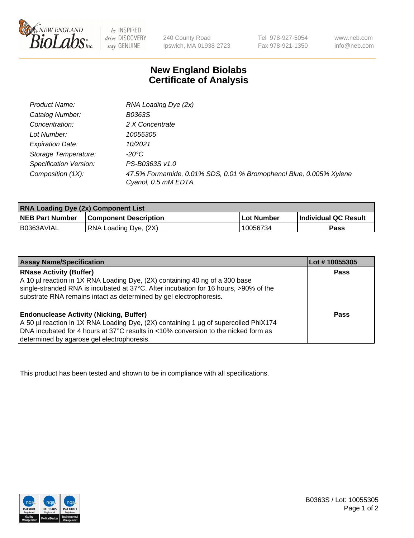

 $be$  INSPIRED drive DISCOVERY stay GENUINE

240 County Road Ipswich, MA 01938-2723 Tel 978-927-5054 Fax 978-921-1350 www.neb.com info@neb.com

## **New England Biolabs Certificate of Analysis**

| Product Name:           | RNA Loading Dye (2x)                                                                      |
|-------------------------|-------------------------------------------------------------------------------------------|
| Catalog Number:         | B0363S                                                                                    |
| Concentration:          | 2 X Concentrate                                                                           |
| Lot Number:             | 10055305                                                                                  |
| <b>Expiration Date:</b> | 10/2021                                                                                   |
| Storage Temperature:    | -20°C                                                                                     |
| Specification Version:  | PS-B0363S v1.0                                                                            |
| Composition (1X):       | 47.5% Formamide, 0.01% SDS, 0.01 % Bromophenol Blue, 0.005% Xylene<br>Cyanol, 0.5 mM EDTA |

| <b>RNA Loading Dye (2x) Component List</b> |                              |            |                             |  |
|--------------------------------------------|------------------------------|------------|-----------------------------|--|
| <b>NEB Part Number</b>                     | <b>Component Description</b> | Lot Number | <b>Individual QC Result</b> |  |
| B0363AVIAL                                 | RNA Loading Dye, (2X)        | 10056734   | Pass                        |  |

| <b>Assay Name/Specification</b>                                                                                                                                                                                                                                             | Lot # 10055305 |
|-----------------------------------------------------------------------------------------------------------------------------------------------------------------------------------------------------------------------------------------------------------------------------|----------------|
| <b>RNase Activity (Buffer)</b><br>A 10 µl reaction in 1X RNA Loading Dye, (2X) containing 40 ng of a 300 base<br>single-stranded RNA is incubated at 37°C. After incubation for 16 hours, >90% of the<br>substrate RNA remains intact as determined by gel electrophoresis. | <b>Pass</b>    |
| <b>Endonuclease Activity (Nicking, Buffer)</b><br>A 50 µl reaction in 1X RNA Loading Dye, (2X) containing 1 µg of supercoiled PhiX174<br>DNA incubated for 4 hours at 37°C results in <10% conversion to the nicked form as<br>determined by agarose gel electrophoresis.   | Pass           |

This product has been tested and shown to be in compliance with all specifications.